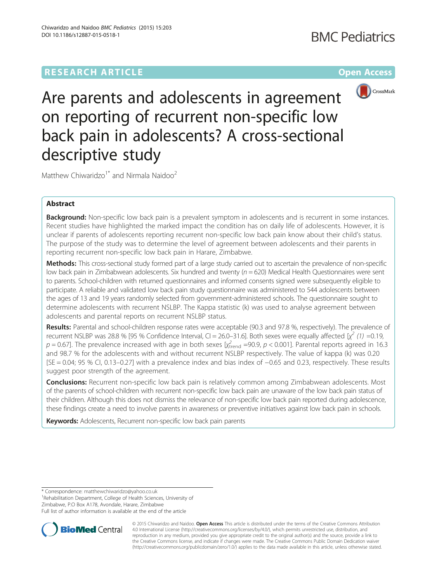

Are parents and adolescents in agreement on reporting of recurrent non-specific low back pain in adolescents? A cross-sectional descriptive study

Matthew Chiwaridzo<sup>1\*</sup> and Nirmala Naidoo<sup>2</sup>

# Abstract

**Background:** Non-specific low back pain is a prevalent symptom in adolescents and is recurrent in some instances. Recent studies have highlighted the marked impact the condition has on daily life of adolescents. However, it is unclear if parents of adolescents reporting recurrent non-specific low back pain know about their child's status. The purpose of the study was to determine the level of agreement between adolescents and their parents in reporting recurrent non-specific low back pain in Harare, Zimbabwe.

Methods: This cross-sectional study formed part of a large study carried out to ascertain the prevalence of non-specific low back pain in Zimbabwean adolescents. Six hundred and twenty ( $n = 620$ ) Medical Health Questionnaires were sent to parents. School-children with returned questionnaires and informed consents signed were subsequently eligible to participate. A reliable and validated low back pain study questionnaire was administered to 544 adolescents between the ages of 13 and 19 years randomly selected from government-administered schools. The questionnaire sought to determine adolescents with recurrent NSLBP. The Kappa statistic (k) was used to analyse agreement between adolescents and parental reports on recurrent NSLBP status.

Results: Parental and school-children response rates were acceptable (90.3 and 97.8 %, respectively). The prevalence of recurrent NSLBP was 28.8 % [95 % Confidence Interval, CI = 26.0–31.6]. Both sexes were equally affected  $[\chi^2 (1) = 0.19$ ,  $p = 0.67$ ]. The prevalence increased with age in both sexes [ $\chi^2_{\text{trend}} = 90.9$ ,  $p < 0.001$ ]. Parental reports agreed in 16.3 and 98.7 % for the adolescents with and without recurrent NSLBP respectively. The value of kappa (k) was 0.20 [SE = 0.04; 95 % CI, 0.13–0.27] with a prevalence index and bias index of −0.65 and 0.23, respectively. These results suggest poor strength of the agreement.

**Conclusions:** Recurrent non-specific low back pain is relatively common among Zimbabwean adolescents. Most of the parents of school-children with recurrent non-specific low back pain are unaware of the low back pain status of their children. Although this does not dismiss the relevance of non-specific low back pain reported during adolescence, these findings create a need to involve parents in awareness or preventive initiatives against low back pain in schools.

Keywords: Adolescents, Recurrent non-specific low back pain parents

<sup>1</sup> Rehabilitation Department, College of Health Sciences, University of Zimbabwe, P.O Box A178, Avondale, Harare, Zimbabwe

Full list of author information is available at the end of the article



© 2015 Chiwaridzo and Naidoo. Open Access This article is distributed under the terms of the Creative Commons Attribution 4.0 International License ([http://creativecommons.org/licenses/by/4.0/\)](http://creativecommons.org/licenses/by/4.0/), which permits unrestricted use, distribution, and reproduction in any medium, provided you give appropriate credit to the original author(s) and the source, provide a link to the Creative Commons license, and indicate if changes were made. The Creative Commons Public Domain Dedication waiver [\(http://creativecommons.org/publicdomain/zero/1.0/](http://creativecommons.org/publicdomain/zero/1.0/)) applies to the data made available in this article, unless otherwise stated.

<sup>\*</sup> Correspondence: [matthewchiwaridzo@yahoo.co.uk](mailto:matthewchiwaridzo@yahoo.co.uk) <sup>1</sup>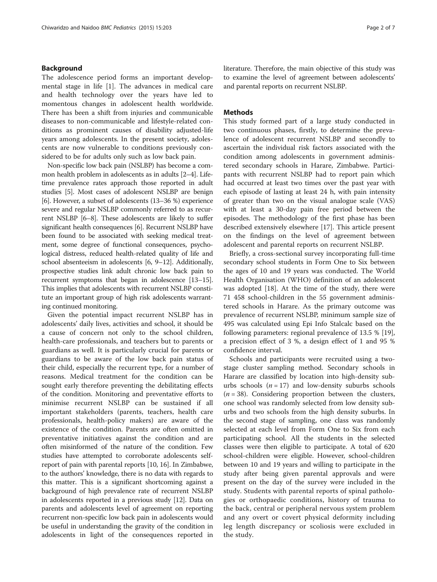#### Background

The adolescence period forms an important developmental stage in life [[1\]](#page-6-0). The advances in medical care and health technology over the years have led to momentous changes in adolescent health worldwide. There has been a shift from injuries and communicable diseases to non-communicable and lifestyle-related conditions as prominent causes of disability adjusted-life years among adolescents. In the present society, adolescents are now vulnerable to conditions previously considered to be for adults only such as low back pain.

Non-specific low back pain (NSLBP) has become a common health problem in adolescents as in adults [\[2](#page-6-0)–[4](#page-6-0)]. Lifetime prevalence rates approach those reported in adult studies [\[5](#page-6-0)]. Most cases of adolescent NSLBP are benign [[6](#page-6-0)]. However, a subset of adolescents (13–36 %) experience severe and regular NSLBP commonly referred to as recurrent NSLBP [\[6](#page-6-0)–[8](#page-6-0)]. These adolescents are likely to suffer significant health consequences [[6](#page-6-0)]. Recurrent NSLBP have been found to be associated with seeking medical treatment, some degree of functional consequences, psychological distress, reduced health-related quality of life and school absenteeism in adolescents [[6, 9](#page-6-0)–[12](#page-6-0)]. Additionally, prospective studies link adult chronic low back pain to recurrent symptoms that began in adolescence [[13](#page-6-0)–[15](#page-6-0)]. This implies that adolescents with recurrent NSLBP constitute an important group of high risk adolescents warranting continued monitoring.

Given the potential impact recurrent NSLBP has in adolescents' daily lives, activities and school, it should be a cause of concern not only to the school children, health-care professionals, and teachers but to parents or guardians as well. It is particularly crucial for parents or guardians to be aware of the low back pain status of their child, especially the recurrent type, for a number of reasons. Medical treatment for the condition can be sought early therefore preventing the debilitating effects of the condition. Monitoring and preventative efforts to minimise recurrent NSLBP can be sustained if all important stakeholders (parents, teachers, health care professionals, health-policy makers) are aware of the existence of the condition. Parents are often omitted in preventative initiatives against the condition and are often misinformed of the nature of the condition. Few studies have attempted to corroborate adolescents selfreport of pain with parental reports [[10](#page-6-0), [16\]](#page-6-0). In Zimbabwe, to the authors' knowledge, there is no data with regards to this matter. This is a significant shortcoming against a background of high prevalence rate of recurrent NSLBP in adolescents reported in a previous study [[12](#page-6-0)]. Data on parents and adolescents level of agreement on reporting recurrent non-specific low back pain in adolescents would be useful in understanding the gravity of the condition in adolescents in light of the consequences reported in

literature. Therefore, the main objective of this study was to examine the level of agreement between adolescents' and parental reports on recurrent NSLBP.

# **Methods**

This study formed part of a large study conducted in two continuous phases, firstly, to determine the prevalence of adolescent recurrent NSLBP and secondly to ascertain the individual risk factors associated with the condition among adolescents in government administered secondary schools in Harare, Zimbabwe. Participants with recurrent NSLBP had to report pain which had occurred at least two times over the past year with each episode of lasting at least 24 h, with pain intensity of greater than two on the visual analogue scale (VAS) with at least a 30-day pain free period between the episodes. The methodology of the first phase has been described extensively elsewhere [\[17](#page-6-0)]. This article present on the findings on the level of agreement between adolescent and parental reports on recurrent NSLBP.

Briefly, a cross-sectional survey incorporating full-time secondary school students in Form One to Six between the ages of 10 and 19 years was conducted. The World Health Organisation (WHO) definition of an adolescent was adopted [[18\]](#page-6-0). At the time of the study, there were 71 458 school-children in the 55 government administered schools in Harare. As the primary outcome was prevalence of recurrent NSLBP, minimum sample size of 495 was calculated using Epi Info Stalcalc based on the following parameters: regional prevalence of 13.5 % [\[19](#page-6-0)], a precision effect of 3 %, a design effect of 1 and 95 % confidence interval.

Schools and participants were recruited using a twostage cluster sampling method. Secondary schools in Harare are classified by location into high-density suburbs schools  $(n = 17)$  and low-density suburbs schools  $(n = 38)$ . Considering proportion between the clusters, one school was randomly selected from low density suburbs and two schools from the high density suburbs. In the second stage of sampling, one class was randomly selected at each level from Form One to Six from each participating school. All the students in the selected classes were then eligible to participate. A total of 620 school-children were eligible. However, school-children between 10 and 19 years and willing to participate in the study after being given parental approvals and were present on the day of the survey were included in the study. Students with parental reports of spinal pathologies or orthopaedic conditions, history of trauma to the back, central or peripheral nervous system problem and any overt or covert physical deformity including leg length discrepancy or scoliosis were excluded in the study.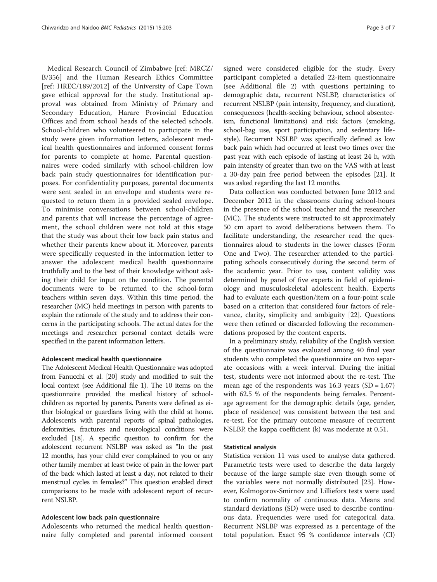Medical Research Council of Zimbabwe [ref: MRCZ/ B/356] and the Human Research Ethics Committee [ref: HREC/189/2012] of the University of Cape Town gave ethical approval for the study. Institutional approval was obtained from Ministry of Primary and Secondary Education, Harare Provincial Education Offices and from school heads of the selected schools. School-children who volunteered to participate in the study were given information letters, adolescent medical health questionnaires and informed consent forms for parents to complete at home. Parental questionnaires were coded similarly with school-children low back pain study questionnaires for identification purposes. For confidentiality purposes, parental documents were sent sealed in an envelope and students were requested to return them in a provided sealed envelope. To minimise conversations between school-children and parents that will increase the percentage of agreement, the school children were not told at this stage that the study was about their low back pain status and whether their parents knew about it. Moreover, parents were specifically requested in the information letter to answer the adolescent medical health questionnaire truthfully and to the best of their knowledge without asking their child for input on the condition. The parental documents were to be returned to the school-form teachers within seven days. Within this time period, the researcher (MC) held meetings in person with parents to explain the rationale of the study and to address their concerns in the participating schools. The actual dates for the meetings and researcher personal contact details were specified in the parent information letters.

# Adolescent medical health questionnaire

The Adolescent Medical Health Questionnaire was adopted from Fanucchi et al. [\[20\]](#page-6-0) study and modified to suit the local context (see Additional file [1\)](#page-6-0). The 10 items on the questionnaire provided the medical history of schoolchildren as reported by parents. Parents were defined as either biological or guardians living with the child at home. Adolescents with parental reports of spinal pathologies, deformities, fractures and neurological conditions were excluded [[18](#page-6-0)]. A specific question to confirm for the adolescent recurrent NSLBP was asked as "In the past 12 months, has your child ever complained to you or any other family member at least twice of pain in the lower part of the back which lasted at least a day, not related to their menstrual cycles in females?" This question enabled direct comparisons to be made with adolescent report of recurrent NSLBP.

#### Adolescent low back pain questionnaire

Adolescents who returned the medical health questionnaire fully completed and parental informed consent signed were considered eligible for the study. Every participant completed a detailed 22-item questionnaire (see Additional file [2](#page-6-0)) with questions pertaining to demographic data, recurrent NSLBP, characteristics of recurrent NSLBP (pain intensity, frequency, and duration), consequences (health-seeking behaviour, school absenteeism, functional limitations) and risk factors (smoking, school-bag use, sport participation, and sedentary lifestyle). Recurrent NSLBP was specifically defined as low back pain which had occurred at least two times over the past year with each episode of lasting at least 24 h, with pain intensity of greater than two on the VAS with at least a 30-day pain free period between the episodes [[21](#page-6-0)]. It was asked regarding the last 12 months.

Data collection was conducted between June 2012 and December 2012 in the classrooms during school-hours in the presence of the school teacher and the researcher (MC). The students were instructed to sit approximately 50 cm apart to avoid deliberations between them. To facilitate understanding, the researcher read the questionnaires aloud to students in the lower classes (Form One and Two). The researcher attended to the participating schools consecutively during the second term of the academic year. Prior to use, content validity was determined by panel of five experts in field of epidemiology and musculoskeletal adolescent health. Experts had to evaluate each question/item on a four-point scale based on a criterion that considered four factors of relevance, clarity, simplicity and ambiguity [[22\]](#page-6-0). Questions were then refined or discarded following the recommendations proposed by the content experts.

In a preliminary study, reliability of the English version of the questionnaire was evaluated among 40 final year students who completed the questionnaire on two separate occasions with a week interval. During the initial test, students were not informed about the re-test. The mean age of the respondents was  $16.3$  years  $(SD = 1.67)$ with 62.5 % of the respondents being females. Percentage agreement for the demographic details (age, gender, place of residence) was consistent between the test and re-test. For the primary outcome measure of recurrent NSLBP, the kappa coefficient (k) was moderate at 0.51.

#### Statistical analysis

Statistica version 11 was used to analyse data gathered. Parametric tests were used to describe the data largely because of the large sample size even though some of the variables were not normally distributed [[23\]](#page-6-0). However, Kolmogorov-Smirnov and Lilliefors tests were used to confirm normality of continuous data. Means and standard deviations (SD) were used to describe continuous data. Frequencies were used for categorical data. Recurrent NSLBP was expressed as a percentage of the total population. Exact 95 % confidence intervals (CI)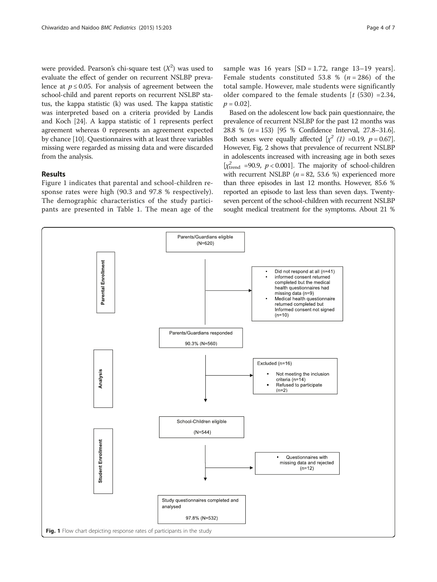were provided. Pearson's chi-square test  $(X^2)$  was used to evaluate the effect of gender on recurrent NSLBP prevalence at  $p \le 0.05$ . For analysis of agreement between the school-child and parent reports on recurrent NSLBP status, the kappa statistic (k) was used. The kappa statistic was interpreted based on a criteria provided by Landis and Koch [\[24\]](#page-6-0). A kappa statistic of 1 represents perfect agreement whereas 0 represents an agreement expected by chance [\[10\]](#page-6-0). Questionnaires with at least three variables missing were regarded as missing data and were discarded from the analysis.

# Results

Figure 1 indicates that parental and school-children response rates were high (90.3 and 97.8 % respectively). The demographic characteristics of the study participants are presented in Table [1](#page-4-0). The mean age of the sample was 16 years  $[SD = 1.72$ , range  $13-19$  years]. Female students constituted 53.8 % ( $n = 286$ ) of the total sample. However, male students were significantly older compared to the female students  $[t (530) = 2.34,$  $p = 0.02$ .

Based on the adolescent low back pain questionnaire, the prevalence of recurrent NSLBP for the past 12 months was 28.8 % (n = 153) [95 % Confidence Interval, 27.8–31.6]. Both sexes were equally affected  $[\chi^2 (1) = 0.19, p = 0.67]$ . However, Fig. [2](#page-4-0) shows that prevalence of recurrent NSLBP in adolescents increased with increasing age in both sexes  $[\chi^2_{\text{trend}} = 90.9, p < 0.001]$ . The majority of school-children with recurrent NSLBP ( $n = 82, 53.6 %$ ) experienced more than three episodes in last 12 months. However, 85.6 % reported an episode to last less than seven days. Twentyseven percent of the school-children with recurrent NSLBP sought medical treatment for the symptoms. About 21 %

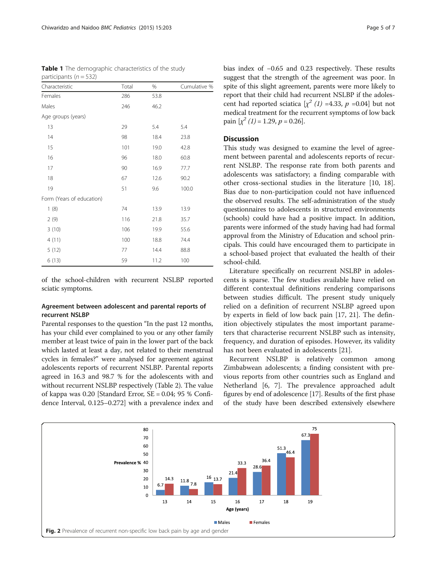<span id="page-4-0"></span>Table 1 The demographic characteristics of the study

| participants ( $n = 532$ ) |       |      |              |  |  |
|----------------------------|-------|------|--------------|--|--|
| Characteristic             | Total | $\%$ | Cumulative % |  |  |
| Females                    | 286   | 53.8 |              |  |  |
| Males                      | 246   | 46.2 |              |  |  |
| Age groups (years)         |       |      |              |  |  |
| 13                         | 29    | 5.4  | 5.4          |  |  |
| 14                         | 98    | 18.4 | 23.8         |  |  |
| 15                         | 101   | 19.0 | 42.8         |  |  |
| 16                         | 96    | 18.0 | 60.8         |  |  |
| 17                         | 90    | 16.9 | 77.7         |  |  |
| 18                         | 67    | 12.6 | 90.2         |  |  |
| 19                         | 51    | 9.6  | 100.0        |  |  |
| Form (Years of education)  |       |      |              |  |  |
| 1(8)                       | 74    | 13.9 | 13.9         |  |  |
| 2(9)                       | 116   | 21.8 | 35.7         |  |  |
| 3(10)                      | 106   | 19.9 | 55.6         |  |  |
| 4(11)                      | 100   | 18.8 | 74.4         |  |  |
| 5(12)                      | 77    | 14.4 | 88.8         |  |  |
| 6 (13)                     | 59    | 11.2 | 100          |  |  |

of the school-children with recurrent NSLBP reported sciatic symptoms.

# Agreement between adolescent and parental reports of recurrent NSLBP

Parental responses to the question "In the past 12 months, has your child ever complained to you or any other family member at least twice of pain in the lower part of the back which lasted at least a day, not related to their menstrual cycles in females?" were analysed for agreement against adolescents reports of recurrent NSLBP. Parental reports agreed in 16.3 and 98.7 % for the adolescents with and without recurrent NSLBP respectively (Table [2](#page-5-0)). The value of kappa was 0.20 [Standard Error, SE = 0.04; 95 % Confidence Interval, 0.125–0.272] with a prevalence index and

bias index of −0.65 and 0.23 respectively. These results suggest that the strength of the agreement was poor. In spite of this slight agreement, parents were more likely to report that their child had recurrent NSLBP if the adolescent had reported sciatica  $\int \chi^2 (1) = 4.33$ ,  $p = 0.04$ ] but not medical treatment for the recurrent symptoms of low back pain  $[\chi^2 (1) = 1.29, p = 0.26]$ .

#### **Discussion**

This study was designed to examine the level of agreement between parental and adolescents reports of recurrent NSLBP. The response rate from both parents and adolescents was satisfactory; a finding comparable with other cross-sectional studies in the literature [\[10](#page-6-0), [18](#page-6-0)]. Bias due to non-participation could not have influenced the observed results. The self-administration of the study questionnaires to adolescents in structured environments (schools) could have had a positive impact. In addition, parents were informed of the study having had had formal approval from the Ministry of Education and school principals. This could have encouraged them to participate in a school-based project that evaluated the health of their school-child.

Literature specifically on recurrent NSLBP in adolescents is sparse. The few studies available have relied on different contextual definitions rendering comparisons between studies difficult. The present study uniquely relied on a definition of recurrent NSLBP agreed upon by experts in field of low back pain [\[17](#page-6-0), [21\]](#page-6-0). The definition objectively stipulates the most important parameters that characterise recurrent NSLBP such as intensity, frequency, and duration of episodes. However, its validity has not been evaluated in adolescents [\[21](#page-6-0)].

Recurrent NSLBP is relatively common among Zimbabwean adolescents; a finding consistent with previous reports from other countries such as England and Netherland [[6](#page-6-0), [7](#page-6-0)]. The prevalence approached adult figures by end of adolescence [\[17\]](#page-6-0). Results of the first phase of the study have been described extensively elsewhere

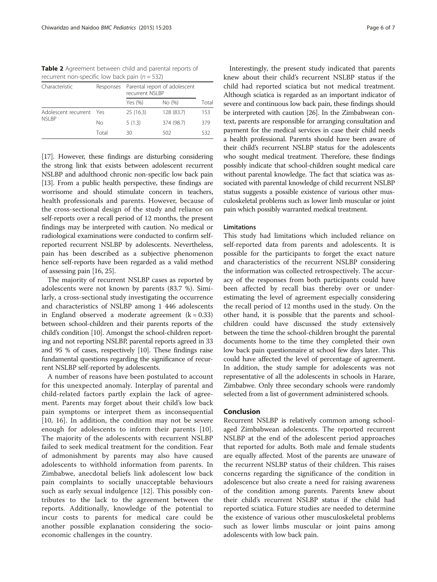<span id="page-5-0"></span>Table 2 Agreement between child and parental reports of recurrent non-specific low back pain  $(n = 532)$ 

| Characteristic                     | Responses | Parental report of adolescent<br>recurrent NSLBP |            |       |
|------------------------------------|-----------|--------------------------------------------------|------------|-------|
|                                    |           | Yes (%)                                          | No (%)     | Total |
| Adolescent recurrent Yes<br>NSI BP |           | 25(16.3)                                         | 128 (83.7) | 153   |
|                                    | Nο        | 5(1.3)                                           | 374 (98.7) | 379   |
|                                    | Total     | 30                                               | 502        | 532   |

[[17](#page-6-0)]. However, these findings are disturbing considering the strong link that exists between adolescent recurrent NSLBP and adulthood chronic non-specific low back pain [[13](#page-6-0)]. From a public health perspective, these findings are worrisome and should stimulate concern in teachers, health professionals and parents. However, because of the cross-sectional design of the study and reliance on self-reports over a recall period of 12 months, the present findings may be interpreted with caution. No medical or radiological examinations were conducted to confirm selfreported recurrent NSLBP by adolescents. Nevertheless, pain has been described as a subjective phenomenon hence self-reports have been regarded as a valid method of assessing pain [[16](#page-6-0), [25\]](#page-6-0).

The majority of recurrent NSLBP cases as reported by adolescents were not known by parents (83.7 %). Similarly, a cross-sectional study investigating the occurrence and characteristics of NSLBP among 1 446 adolescents in England observed a moderate agreement  $(k = 0.33)$ between school-children and their parents reports of the child's condition [\[10\]](#page-6-0). Amongst the school-children reporting and not reporting NSLBP, parental reports agreed in 33 and 95 % of cases, respectively [[10](#page-6-0)]. These findings raise fundamental questions regarding the significance of recurrent NSLBP self-reported by adolescents.

A number of reasons have been postulated to account for this unexpected anomaly. Interplay of parental and child-related factors partly explain the lack of agreement. Parents may forget about their child's low back pain symptoms or interpret them as inconsequential [[10, 16](#page-6-0)]. In addition, the condition may not be severe enough for adolescents to inform their parents [\[10](#page-6-0)]. The majority of the adolescents with recurrent NSLBP failed to seek medical treatment for the condition. Fear of admonishment by parents may also have caused adolescents to withhold information from parents. In Zimbabwe, anecdotal beliefs link adolescent low back pain complaints to socially unacceptable behaviours such as early sexual indulgence [[12\]](#page-6-0). This possibly contributes to the lack to the agreement between the reports. Additionally, knowledge of the potential to incur costs to parents for medical care could be another possible explanation considering the socioeconomic challenges in the country.

Interestingly, the present study indicated that parents knew about their child's recurrent NSLBP status if the child had reported sciatica but not medical treatment. Although sciatica is regarded as an important indicator of severe and continuous low back pain, these findings should be interpreted with caution [[26](#page-6-0)]. In the Zimbabwean context, parents are responsible for arranging consultation and payment for the medical services in case their child needs a health professional. Parents should have been aware of their child's recurrent NSLBP status for the adolescents who sought medical treatment. Therefore, these findings possibly indicate that school-children sought medical care without parental knowledge. The fact that sciatica was associated with parental knowledge of child recurrent NSLBP status suggests a possible existence of various other musculoskeletal problems such as lower limb muscular or joint pain which possibly warranted medical treatment.

#### Limitations

This study had limitations which included reliance on self-reported data from parents and adolescents. It is possible for the participants to forget the exact nature and characteristics of the recurrent NSLBP considering the information was collected retrospectively. The accuracy of the responses from both participants could have been affected by recall bias thereby over or underestimating the level of agreement especially considering the recall period of 12 months used in the study. On the other hand, it is possible that the parents and schoolchildren could have discussed the study extensively between the time the school-children brought the parental documents home to the time they completed their own low back pain questionnaire at school few days later. This could have affected the level of percentage of agreement. In addition, the study sample for adolescents was not representative of all the adolescents in schools in Harare, Zimbabwe. Only three secondary schools were randomly selected from a list of government administered schools.

# Conclusion

Recurrent NSLBP is relatively common among schoolaged Zimbabwean adolescents. The reported recurrent NSLBP at the end of the adolescent period approaches that reported for adults. Both male and female students are equally affected. Most of the parents are unaware of the recurrent NSLBP status of their children. This raises concerns regarding the significance of the condition in adolescence but also create a need for raising awareness of the condition among parents. Parents knew about their child's recurrent NSLBP status if the child had reported sciatica. Future studies are needed to determine the existence of various other musculoskeletal problems such as lower limbs muscular or joint pains among adolescents with low back pain.